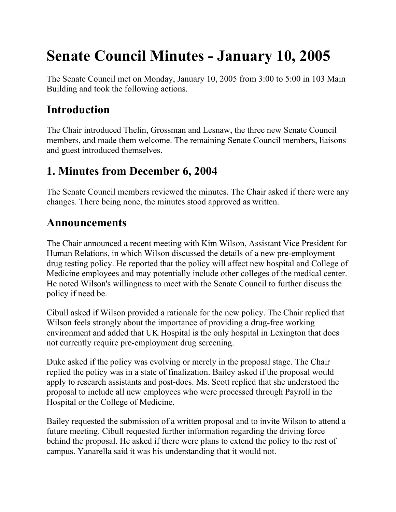# **Senate Council Minutes - January 10, 2005**

The Senate Council met on Monday, January 10, 2005 from 3:00 to 5:00 in 103 Main Building and took the following actions.

## **Introduction**

The Chair introduced Thelin, Grossman and Lesnaw, the three new Senate Council members, and made them welcome. The remaining Senate Council members, liaisons and guest introduced themselves.

## **1. Minutes from December 6, 2004**

The Senate Council members reviewed the minutes. The Chair asked if there were any changes. There being none, the minutes stood approved as written.

#### **Announcements**

The Chair announced a recent meeting with Kim Wilson, Assistant Vice President for Human Relations, in which Wilson discussed the details of a new pre-employment drug testing policy. He reported that the policy will affect new hospital and College of Medicine employees and may potentially include other colleges of the medical center. He noted Wilson's willingness to meet with the Senate Council to further discuss the policy if need be.

Cibull asked if Wilson provided a rationale for the new policy. The Chair replied that Wilson feels strongly about the importance of providing a drug-free working environment and added that UK Hospital is the only hospital in Lexington that does not currently require pre-employment drug screening.

Duke asked if the policy was evolving or merely in the proposal stage. The Chair replied the policy was in a state of finalization. Bailey asked if the proposal would apply to research assistants and post-docs. Ms. Scott replied that she understood the proposal to include all new employees who were processed through Payroll in the Hospital or the College of Medicine.

Bailey requested the submission of a written proposal and to invite Wilson to attend a future meeting. Cibull requested further information regarding the driving force behind the proposal. He asked if there were plans to extend the policy to the rest of campus. Yanarella said it was his understanding that it would not.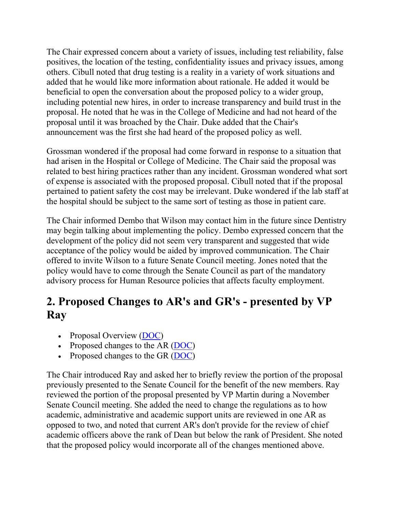The Chair expressed concern about a variety of issues, including test reliability, false positives, the location of the testing, confidentiality issues and privacy issues, among others. Cibull noted that drug testing is a reality in a variety of work situations and added that he would like more information about rationale. He added it would be beneficial to open the conversation about the proposed policy to a wider group, including potential new hires, in order to increase transparency and build trust in the proposal. He noted that he was in the College of Medicine and had not heard of the proposal until it was broached by the Chair. Duke added that the Chair's announcement was the first she had heard of the proposed policy as well.

Grossman wondered if the proposal had come forward in response to a situation that had arisen in the Hospital or College of Medicine. The Chair said the proposal was related to best hiring practices rather than any incident. Grossman wondered what sort of expense is associated with the proposed proposal. Cibull noted that if the proposal pertained to patient safety the cost may be irrelevant. Duke wondered if the lab staff at the hospital should be subject to the same sort of testing as those in patient care.

The Chair informed Dembo that Wilson may contact him in the future since Dentistry may begin talking about implementing the policy. Dembo expressed concern that the development of the policy did not seem very transparent and suggested that wide acceptance of the policy would be aided by improved communication. The Chair offered to invite Wilson to a future Senate Council meeting. Jones noted that the policy would have to come through the Senate Council as part of the mandatory advisory process for Human Resource policies that affects faculty employment.

## **2. Proposed Changes to AR's and GR's - presented by VP Ray**

- Proposal Overview [\(DOC\)](file://nemo.ad.uky.edu/senate/usc/files/Overview%20of%20Proposed%20Revision%20of%20AR%20II.doc)
- Proposed changes to the AR [\(DOC\)](file://nemo.ad.uky.edu/senate/usc/files/AR%20II-1.0-6%20FINAL%20DRAFT%204-30-04.doc)
- Proposed changes to the GR [\(DOC\)](file://nemo.ad.uky.edu/senate/usc/files/GR%20Redlined.doc)

The Chair introduced Ray and asked her to briefly review the portion of the proposal previously presented to the Senate Council for the benefit of the new members. Ray reviewed the portion of the proposal presented by VP Martin during a November Senate Council meeting. She added the need to change the regulations as to how academic, administrative and academic support units are reviewed in one AR as opposed to two, and noted that current AR's don't provide for the review of chief academic officers above the rank of Dean but below the rank of President. She noted that the proposed policy would incorporate all of the changes mentioned above.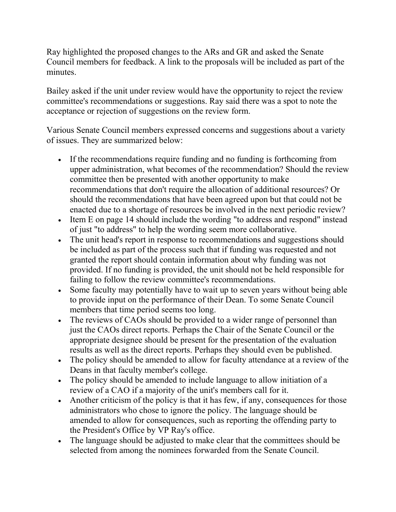Ray highlighted the proposed changes to the ARs and GR and asked the Senate Council members for feedback. A link to the proposals will be included as part of the minutes.

Bailey asked if the unit under review would have the opportunity to reject the review committee's recommendations or suggestions. Ray said there was a spot to note the acceptance or rejection of suggestions on the review form.

Various Senate Council members expressed concerns and suggestions about a variety of issues. They are summarized below:

- If the recommendations require funding and no funding is forthcoming from upper administration, what becomes of the recommendation? Should the review committee then be presented with another opportunity to make recommendations that don't require the allocation of additional resources? Or should the recommendations that have been agreed upon but that could not be enacted due to a shortage of resources be involved in the next periodic review?
- Item E on page 14 should include the wording "to address and respond" instead of just "to address" to help the wording seem more collaborative.
- The unit head's report in response to recommendations and suggestions should be included as part of the process such that if funding was requested and not granted the report should contain information about why funding was not provided. If no funding is provided, the unit should not be held responsible for failing to follow the review committee's recommendations.
- Some faculty may potentially have to wait up to seven years without being able to provide input on the performance of their Dean. To some Senate Council members that time period seems too long.
- The reviews of CAOs should be provided to a wider range of personnel than just the CAOs direct reports. Perhaps the Chair of the Senate Council or the appropriate designee should be present for the presentation of the evaluation results as well as the direct reports. Perhaps they should even be published.
- The policy should be amended to allow for faculty attendance at a review of the Deans in that faculty member's college.
- The policy should be amended to include language to allow initiation of a review of a CAO if a majority of the unit's members call for it.
- Another criticism of the policy is that it has few, if any, consequences for those administrators who chose to ignore the policy. The language should be amended to allow for consequences, such as reporting the offending party to the President's Office by VP Ray's office.
- The language should be adjusted to make clear that the committees should be selected from among the nominees forwarded from the Senate Council.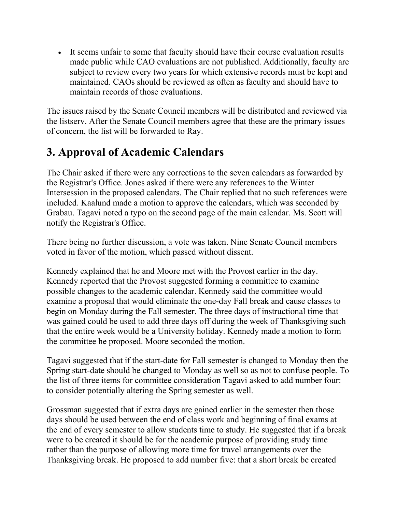• It seems unfair to some that faculty should have their course evaluation results made public while CAO evaluations are not published. Additionally, faculty are subject to review every two years for which extensive records must be kept and maintained. CAOs should be reviewed as often as faculty and should have to maintain records of those evaluations.

The issues raised by the Senate Council members will be distributed and reviewed via the listserv. After the Senate Council members agree that these are the primary issues of concern, the list will be forwarded to Ray.

# **3. Approval of Academic Calendars**

The Chair asked if there were any corrections to the seven calendars as forwarded by the Registrar's Office. Jones asked if there were any references to the Winter Intersession in the proposed calendars. The Chair replied that no such references were included. Kaalund made a motion to approve the calendars, which was seconded by Grabau. Tagavi noted a typo on the second page of the main calendar. Ms. Scott will notify the Registrar's Office.

There being no further discussion, a vote was taken. Nine Senate Council members voted in favor of the motion, which passed without dissent.

Kennedy explained that he and Moore met with the Provost earlier in the day. Kennedy reported that the Provost suggested forming a committee to examine possible changes to the academic calendar. Kennedy said the committee would examine a proposal that would eliminate the one-day Fall break and cause classes to begin on Monday during the Fall semester. The three days of instructional time that was gained could be used to add three days off during the week of Thanksgiving such that the entire week would be a University holiday. Kennedy made a motion to form the committee he proposed. Moore seconded the motion.

Tagavi suggested that if the start-date for Fall semester is changed to Monday then the Spring start-date should be changed to Monday as well so as not to confuse people. To the list of three items for committee consideration Tagavi asked to add number four: to consider potentially altering the Spring semester as well.

Grossman suggested that if extra days are gained earlier in the semester then those days should be used between the end of class work and beginning of final exams at the end of every semester to allow students time to study. He suggested that if a break were to be created it should be for the academic purpose of providing study time rather than the purpose of allowing more time for travel arrangements over the Thanksgiving break. He proposed to add number five: that a short break be created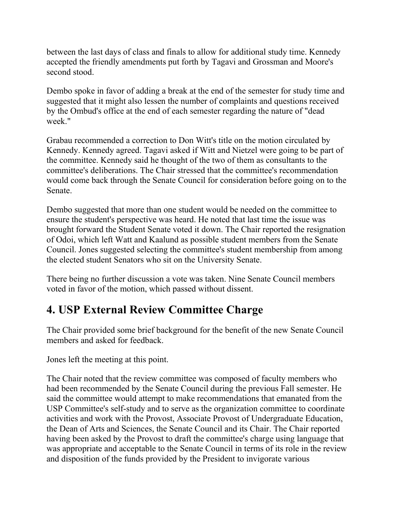between the last days of class and finals to allow for additional study time. Kennedy accepted the friendly amendments put forth by Tagavi and Grossman and Moore's second stood.

Dembo spoke in favor of adding a break at the end of the semester for study time and suggested that it might also lessen the number of complaints and questions received by the Ombud's office at the end of each semester regarding the nature of "dead week."

Grabau recommended a correction to Don Witt's title on the motion circulated by Kennedy. Kennedy agreed. Tagavi asked if Witt and Nietzel were going to be part of the committee. Kennedy said he thought of the two of them as consultants to the committee's deliberations. The Chair stressed that the committee's recommendation would come back through the Senate Council for consideration before going on to the Senate.

Dembo suggested that more than one student would be needed on the committee to ensure the student's perspective was heard. He noted that last time the issue was brought forward the Student Senate voted it down. The Chair reported the resignation of Odoi, which left Watt and Kaalund as possible student members from the Senate Council. Jones suggested selecting the committee's student membership from among the elected student Senators who sit on the University Senate.

There being no further discussion a vote was taken. Nine Senate Council members voted in favor of the motion, which passed without dissent.

## **4. USP External Review Committee Charge**

The Chair provided some brief background for the benefit of the new Senate Council members and asked for feedback.

Jones left the meeting at this point.

The Chair noted that the review committee was composed of faculty members who had been recommended by the Senate Council during the previous Fall semester. He said the committee would attempt to make recommendations that emanated from the USP Committee's self-study and to serve as the organization committee to coordinate activities and work with the Provost, Associate Provost of Undergraduate Education, the Dean of Arts and Sciences, the Senate Council and its Chair. The Chair reported having been asked by the Provost to draft the committee's charge using language that was appropriate and acceptable to the Senate Council in terms of its role in the review and disposition of the funds provided by the President to invigorate various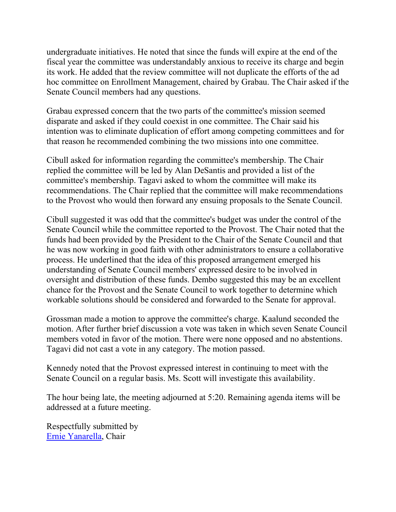undergraduate initiatives. He noted that since the funds will expire at the end of the fiscal year the committee was understandably anxious to receive its charge and begin its work. He added that the review committee will not duplicate the efforts of the ad hoc committee on Enrollment Management, chaired by Grabau. The Chair asked if the Senate Council members had any questions.

Grabau expressed concern that the two parts of the committee's mission seemed disparate and asked if they could coexist in one committee. The Chair said his intention was to eliminate duplication of effort among competing committees and for that reason he recommended combining the two missions into one committee.

Cibull asked for information regarding the committee's membership. The Chair replied the committee will be led by Alan DeSantis and provided a list of the committee's membership. Tagavi asked to whom the committee will make its recommendations. The Chair replied that the committee will make recommendations to the Provost who would then forward any ensuing proposals to the Senate Council.

Cibull suggested it was odd that the committee's budget was under the control of the Senate Council while the committee reported to the Provost. The Chair noted that the funds had been provided by the President to the Chair of the Senate Council and that he was now working in good faith with other administrators to ensure a collaborative process. He underlined that the idea of this proposed arrangement emerged his understanding of Senate Council members' expressed desire to be involved in oversight and distribution of these funds. Dembo suggested this may be an excellent chance for the Provost and the Senate Council to work together to determine which workable solutions should be considered and forwarded to the Senate for approval.

Grossman made a motion to approve the committee's charge. Kaalund seconded the motion. After further brief discussion a vote was taken in which seven Senate Council members voted in favor of the motion. There were none opposed and no abstentions. Tagavi did not cast a vote in any category. The motion passed.

Kennedy noted that the Provost expressed interest in continuing to meet with the Senate Council on a regular basis. Ms. Scott will investigate this availability.

The hour being late, the meeting adjourned at 5:20. Remaining agenda items will be addressed at a future meeting.

Respectfully submitted by [Ernie Yanarella,](mailto:ejyana@email.uky.edu) Chair